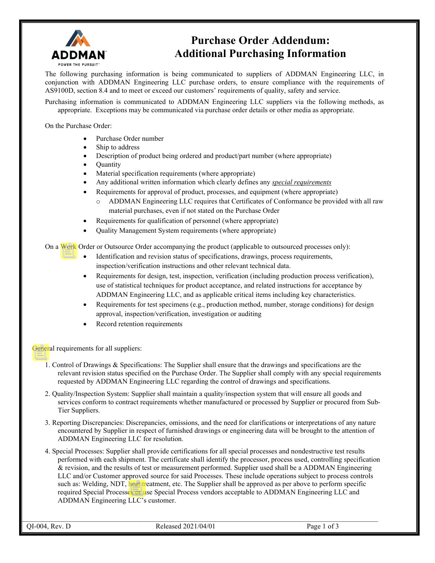

## **Purchase Order Addendum: Additional Purchasing Information**

The following purchasing information is being communicated to suppliers of ADDMAN Engineering LLC, in conjunction with ADDMAN Engineering LLC purchase orders, to ensure compliance with the requirements of AS9100D, section 8.4 and to meet or exceed our customers' requirements of quality, safety and service.

Purchasing information is communicated to ADDMAN Engineering LLC suppliers via the following methods, as appropriate. Exceptions may be communicated via purchase order details or other media as appropriate.

On the Purchase Order:

- Purchase Order number
- Ship to address
- Description of product being ordered and product/part number (where appropriate)
- Quantity
- Material specification requirements (where appropriate)
- Any additional written information which clearly defines any *special requirements*
- Requirements for approval of product, processes, and equipment (where appropriate)
	- ADDMAN Engineering LLC requires that Certificates of Conformance be provided with all raw material purchases, even if not stated on the Purchase Order
- Requirements for qualification of personnel (where appropriate)
- Quality Management System requirements (where appropriate)

On a Work Order or Outsource Order accompanying the product (applicable to outsourced processes only):

- Identification and revision status of specifications, drawings, process requirements, inspection/verification instructions and other relevant technical data.
- Requirements for design, test, inspection, verification (including production process verification), use of statistical techniques for product acceptance, and related instructions for acceptance by ADDMAN Engineering LLC, and as applicable critical items including key characteristics.
- Requirements for test specimens (e.g., production method, number, storage conditions) for design approval, inspection/verification, investigation or auditing
- Record retention requirements

General requirements for all suppliers:

- 1. Control of Drawings & Specifications: The Supplier shall ensure that the drawings and specifications are the relevant revision status specified on the Purchase Order. The Supplier shall comply with any special requirements requested by ADDMAN Engineering LLC regarding the control of drawings and specifications.
- 2. Quality/Inspection System: Supplier shall maintain a quality/inspection system that will ensure all goods and services conform to contract requirements whether manufactured or processed by Supplier or procured from Sub-Tier Suppliers.
- 3. Reporting Discrepancies: Discrepancies, omissions, and the need for clarifications or interpretations of any nature encountered by Supplier in respect of furnished drawings or engineering data will be brought to the attention of ADDMAN Engineering LLC for resolution.
- 4. Special Processes: Supplier shall provide certifications for all special processes and nondestructive test results performed with each shipment. The certificate shall identify the processor, process used, controlling specification & revision, and the results of test or measurement performed. Supplier used shall be a ADDMAN Engineering LLC and/or Customer approved source for said Processes. These include operations subject to process controls such as: Welding, NDT, heat treatment, etc. The Supplier shall be approved as per above to perform specific required Special Processes or use Special Process vendors acceptable to ADDMAN Engineering LLC and ADDMAN Engineering LLC's customer.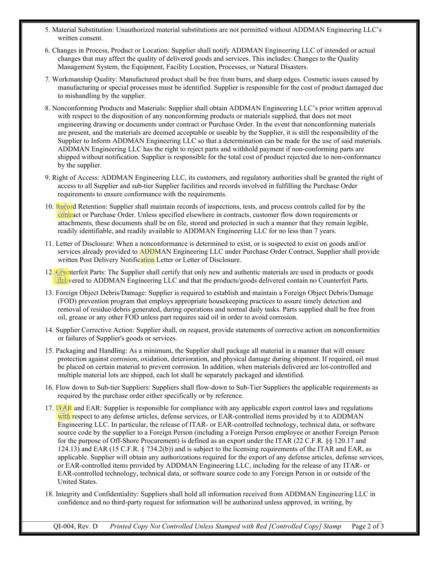- 5. Material Substitution: Unauthorized material substitutions are not permitted without ADDMAN Engineering LLC's written consent.
- 6. Changes in Process, Product or Location: Supplier shall notify ADDMAN Engineering LLC of intended or actual changes that may affect the quality of delivered goods and services. This includes: Changes to the Quality Management System, the Equipment, Facility Location, Processes, or Natural Disasters.
- 7. Workmanship Quality: Manufactured product shall be free from burrs, and sharp edges. Cosmetic issues caused by manufacturing or special processes must be identified. Supplier is responsible for the cost of product damaged due to mishandling by the supplier.
- 8. Nonconforming Products and Materials: Supplier shall obtain ADDMAN Engineering LLC's prior written approval with respect to the disposition of any nonconforming products or materials supplied, that does not meet engineering drawing or documents under contract or Purchase Order. In the event that nonconforming materials are present, and the materials are deemed acceptable or useable by the Supplier, it is still the responsibility of the Supplier to Inform ADDMAN Engineering LLC so that a determination can be made for the use of said materials. ADDMAN Engineering LLC has the right to reject parts and withhold payment if non-conforming parts are shipped without notification. Supplier is responsible for the total cost of product rejected due to non-conformance by the supplier.
- 9. Right of Access: ADDMAN Engineering LLC, its customers, and regulatory authorities shall be granted the right of access to all Supplier and sub-tier Supplier facilities and records involved in fulfilling the Purchase Order requirements to ensure conformance with the requirements.
- 10. Record Retention: Supplier shall maintain records of inspections, tests, and process controls called for by the contract or Purchase Order. Unless specified elsewhere in contracts, customer flow down requirements or attachments, these documents shall be on file, stored and protected in such a manner that they remain legible, readily identifiable, and readily available to ADDMAN Engineering LLC for no less than 7 years.
- 11. Letter of Disclosure: When a nonconformance is determined to exist, or is suspected to exist on goods and/or services already provided to ADDMAN Engineering LLC under Purchase Order Contract, Supplier shall provide written Post Delivery Notification Letter or Letter of Disclosure.
- 12. Counterfeit Parts: The Supplier shall certify that only new and authentic materials are used in products or goods delivered to ADDMAN Engineering LLC and that the products/goods delivered contain no Counterfeit Parts.
- 13. Foreign Object Debris/Damage: Supplier is required to establish and maintain a Foreign Object Debris/Damage (FOD) prevention program that employs appropriate housekeeping practices to assure timely detection and removal of residue/debris generated, during operations and normal daily tasks. Parts supplied shall be free from oil, grease or any other FOD unless part requires said oil in order to avoid corrosion.
- 14. Supplier Corrective Action: Supplier shall, on request, provide statements of corrective action on nonconformities or failures of Supplier's goods or services.
- 15. Packaging and Handling: As a minimum, the Supplier shall package all material in a manner that will ensure protection against corrosion, oxidation, deterioration, and physical damage during shipment. If required, oil must be placed on certain material to prevent corrosion. In addition, when materials delivered are lot-controlled and multiple material lots are shipped, each lot shall be separately packaged and identified.
- 16. Flow down to Sub-tier Suppliers: Suppliers shall flow-down to Sub-Tier Suppliers the applicable requirements as required by the purchase order either specifically or by reference.
- 17. ITAR and EAR: Supplier is responsible for compliance with any applicable export control laws and regulations with respect to any defense articles, defense services, or EAR-controlled items provided by it to ADDMAN Engineering LLC. In particular, the release of ITAR- or EAR-controlled technology, technical data, or software source code by the supplier to a Foreign Person (including a Foreign Person employee or another Foreign Person for the purpose of Off-Shore Procurement) is defined as an export under the ITAR (22 C.F.R. §§ 120.17 and 124.13) and EAR (15 C.F.R. § 734.2(b)) and is subject to the licensing requirements of the ITAR and EAR, as applicable. Supplier will obtain any authorizations required for the export of any defense articles, defense services, or EAR-controlled items provided by ADDMAN Engineering LLC, including for the release of any ITAR- or EAR-controlled technology, technical data, or software source code to any Foreign Person in or outside of the United States.
- 18. Integrity and Confidentiality: Suppliers shall hold all information received from ADDMAN Engineering LLC in confidence and no third-party request for information will be authorized unless approved, in writing, by

 $\mathcal{L}_\text{max}$  and the state of the state of the state of the state of the state of the state of the state of the state of

QI-004, Rev. D *Printed Copy Not Controlled Unless Stamped with Red [Controlled Copy] Stamp* Page 2 of 3